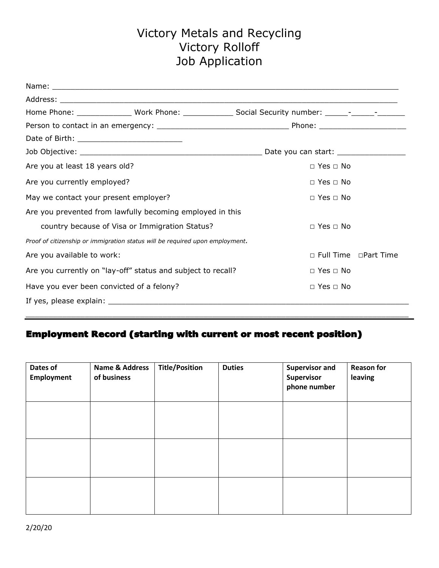# Victory Metals and Recycling Victory Rolloff Job Application

| Are you at least 18 years old?                 |                                                                              | $\Box$ Yes $\Box$ No    |  |  |
|------------------------------------------------|------------------------------------------------------------------------------|-------------------------|--|--|
| Are you currently employed?                    |                                                                              | $\Box$ Yes $\Box$ No    |  |  |
| May we contact your present employer?          |                                                                              | $\Box$ Yes $\Box$ No    |  |  |
|                                                | Are you prevented from lawfully becoming employed in this                    |                         |  |  |
| country because of Visa or Immigration Status? |                                                                              | $\Box$ Yes $\Box$ No    |  |  |
|                                                | Proof of citizenship or immigration status will be required upon employment. |                         |  |  |
| Are you available to work:                     |                                                                              | □ Full Time □ Part Time |  |  |
|                                                | Are you currently on "lay-off" status and subject to recall?                 | $\Box$ Yes $\Box$ No    |  |  |
| Have you ever been convicted of a felony?      |                                                                              | $\Box$ Yes $\Box$ No    |  |  |
|                                                |                                                                              |                         |  |  |

## Employment Record (starting with current or most recent position)

| Dates of<br><b>Employment</b> | Name & Address<br>of business | <b>Title/Position</b> | <b>Duties</b> | <b>Supervisor and</b><br>Supervisor<br>phone number | <b>Reason for</b><br>leaving |
|-------------------------------|-------------------------------|-----------------------|---------------|-----------------------------------------------------|------------------------------|
|                               |                               |                       |               |                                                     |                              |
|                               |                               |                       |               |                                                     |                              |
|                               |                               |                       |               |                                                     |                              |

 $\_$  ,  $\_$  ,  $\_$  ,  $\_$  ,  $\_$  ,  $\_$  ,  $\_$  ,  $\_$  ,  $\_$  ,  $\_$  ,  $\_$  ,  $\_$  ,  $\_$  ,  $\_$  ,  $\_$  ,  $\_$  ,  $\_$  ,  $\_$  ,  $\_$  ,  $\_$  ,  $\_$  ,  $\_$  ,  $\_$  ,  $\_$  ,  $\_$  ,  $\_$  ,  $\_$  ,  $\_$  ,  $\_$  ,  $\_$  ,  $\_$  ,  $\_$  ,  $\_$  ,  $\_$  ,  $\_$  ,  $\_$  ,  $\_$  ,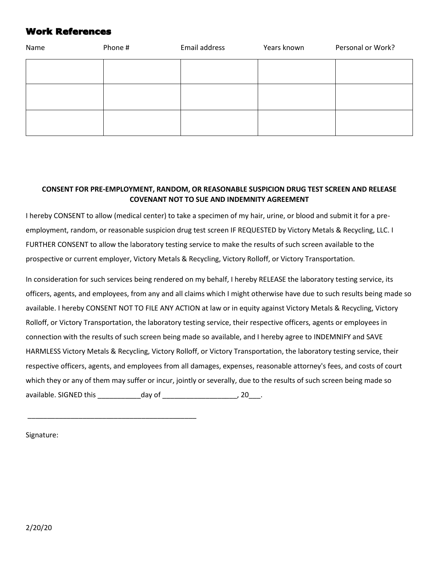### Work References

| Name | Phone # | Email address | Years known | Personal or Work? |
|------|---------|---------------|-------------|-------------------|
|      |         |               |             |                   |
|      |         |               |             |                   |
|      |         |               |             |                   |

### **CONSENT FOR PRE-EMPLOYMENT, RANDOM, OR REASONABLE SUSPICION DRUG TEST SCREEN AND RELEASE COVENANT NOT TO SUE AND INDEMNITY AGREEMENT**

I hereby CONSENT to allow (medical center) to take a specimen of my hair, urine, or blood and submit it for a preemployment, random, or reasonable suspicion drug test screen IF REQUESTED by Victory Metals & Recycling, LLC. I FURTHER CONSENT to allow the laboratory testing service to make the results of such screen available to the prospective or current employer, Victory Metals & Recycling, Victory Rolloff, or Victory Transportation.

In consideration for such services being rendered on my behalf, I hereby RELEASE the laboratory testing service, its officers, agents, and employees, from any and all claims which I might otherwise have due to such results being made so available. I hereby CONSENT NOT TO FILE ANY ACTION at law or in equity against Victory Metals & Recycling, Victory Rolloff, or Victory Transportation, the laboratory testing service, their respective officers, agents or employees in connection with the results of such screen being made so available, and I hereby agree to INDEMNIFY and SAVE HARMLESS Victory Metals & Recycling, Victory Rolloff, or Victory Transportation, the laboratory testing service, their respective officers, agents, and employees from all damages, expenses, reasonable attorney's fees, and costs of court which they or any of them may suffer or incur, jointly or severally, due to the results of such screen being made so available. SIGNED this \_\_\_\_\_\_\_\_\_\_\_day of \_\_\_\_\_\_\_\_\_\_\_\_\_\_\_\_\_\_\_, 20\_\_\_.

Signature:

\_\_\_\_\_\_\_\_\_\_\_\_\_\_\_\_\_\_\_\_\_\_\_\_\_\_\_\_\_\_\_\_\_\_\_\_\_\_\_\_\_\_\_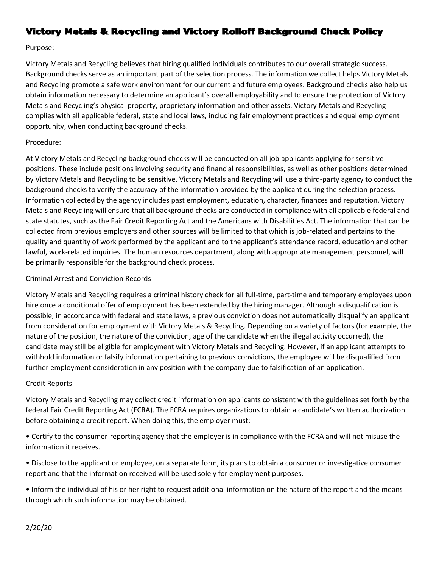## Victory Metals & Recycling and Victory Rolloff Background Check Policy

Purpose:

Victory Metals and Recycling believes that hiring qualified individuals contributes to our overall strategic success. Background checks serve as an important part of the selection process. The information we collect helps Victory Metals and Recycling promote a safe work environment for our current and future employees. Background checks also help us obtain information necessary to determine an applicant's overall employability and to ensure the protection of Victory Metals and Recycling's physical property, proprietary information and other assets. Victory Metals and Recycling complies with all applicable federal, state and local laws, including fair employment practices and equal employment opportunity, when conducting background checks.

### Procedure:

At Victory Metals and Recycling background checks will be conducted on all job applicants applying for sensitive positions. These include positions involving security and financial responsibilities, as well as other positions determined by Victory Metals and Recycling to be sensitive. Victory Metals and Recycling will use a third-party agency to conduct the background checks to verify the accuracy of the information provided by the applicant during the selection process. Information collected by the agency includes past employment, education, character, finances and reputation. Victory Metals and Recycling will ensure that all background checks are conducted in compliance with all applicable federal and state statutes, such as the Fair Credit Reporting Act and the Americans with Disabilities Act. The information that can be collected from previous employers and other sources will be limited to that which is job-related and pertains to the quality and quantity of work performed by the applicant and to the applicant's attendance record, education and other lawful, work-related inquiries. The human resources department, along with appropriate management personnel, will be primarily responsible for the background check process.

### Criminal Arrest and Conviction Records

Victory Metals and Recycling requires a criminal history check for all full-time, part-time and temporary employees upon hire once a conditional offer of employment has been extended by the hiring manager. Although a disqualification is possible, in accordance with federal and state laws, a previous conviction does not automatically disqualify an applicant from consideration for employment with Victory Metals & Recycling. Depending on a variety of factors (for example, the nature of the position, the nature of the conviction, age of the candidate when the illegal activity occurred), the candidate may still be eligible for employment with Victory Metals and Recycling. However, if an applicant attempts to withhold information or falsify information pertaining to previous convictions, the employee will be disqualified from further employment consideration in any position with the company due to falsification of an application.

### Credit Reports

Victory Metals and Recycling may collect credit information on applicants consistent with the guidelines set forth by the federal Fair Credit Reporting Act (FCRA). The FCRA requires organizations to obtain a candidate's written authorization before obtaining a credit report. When doing this, the employer must:

• Certify to the consumer-reporting agency that the employer is in compliance with the FCRA and will not misuse the information it receives.

• Disclose to the applicant or employee, on a separate form, its plans to obtain a consumer or investigative consumer report and that the information received will be used solely for employment purposes.

• Inform the individual of his or her right to request additional information on the nature of the report and the means through which such information may be obtained.